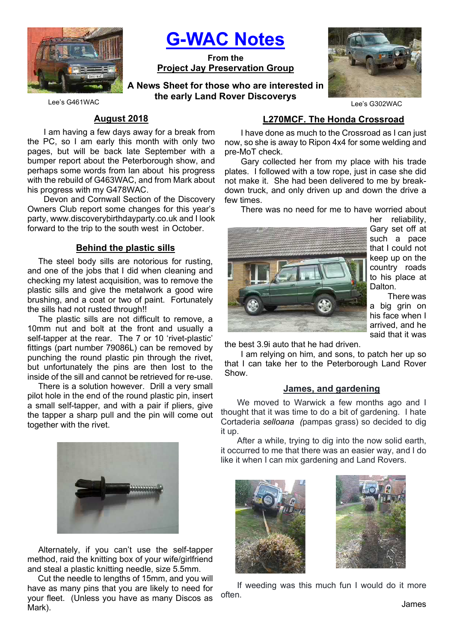

G-WAC Notes

From the Project Jay Preservation Group

A News Sheet for those who are interested in the early Land Rover Discoverys



Lee's G302WAC

Lee's G461WAC

# August 2018

I am having a few days away for a break from the PC, so I am early this month with only two pages, but will be back late September with a bumper report about the Peterborough show, and perhaps some words from Ian about his progress with the rebuild of G463WAC, and from Mark about his progress with my G478WAC.

Devon and Cornwall Section of the Discovery Owners Club report some changes for this year's party, www.discoverybirthdayparty.co.uk and I look forward to the trip to the south west in October.

## Behind the plastic sills

The steel body sills are notorious for rusting, and one of the jobs that I did when cleaning and checking my latest acquisition, was to remove the plastic sills and give the metalwork a good wire brushing, and a coat or two of paint. Fortunately the sills had not rusted through!!

The plastic sills are not difficult to remove, a 10mm nut and bolt at the front and usually a self-tapper at the rear. The 7 or 10 'rivet-plastic' fittings (part number 79086L) can be removed by punching the round plastic pin through the rivet, but unfortunately the pins are then lost to the inside of the sill and cannot be retrieved for re-use.

There is a solution however. Drill a very small pilot hole in the end of the round plastic pin, insert a small self-tapper, and with a pair if pliers, give the tapper a sharp pull and the pin will come out together with the rivet.



Alternately, if you can't use the self-tapper method, raid the knitting box of your wife/girlfriend and steal a plastic knitting needle, size 5.5mm.

 Cut the needle to lengths of 15mm, and you will have as many pins that you are likely to need for your fleet. (Unless you have as many Discos as Mark).

# L270MCF. The Honda Crossroad

I have done as much to the Crossroad as I can just now, so she is away to Ripon 4x4 for some welding and pre-MoT check.

Gary collected her from my place with his trade plates. I followed with a tow rope, just in case she did not make it. She had been delivered to me by breakdown truck, and only driven up and down the drive a few times.

There was no need for me to have worried about



her reliability, Gary set off at such a pace that I could not keep up on the country roads to his place at Dalton.

 There was a big grin on his face when I arrived, and he said that it was

the best 3.9i auto that he had driven.

I am relying on him, and sons, to patch her up so that I can take her to the Peterborough Land Rover Show.

#### James, and gardening

We moved to Warwick a few months ago and I thought that it was time to do a bit of gardening. I hate Cortaderia selloana (pampas grass) so decided to dig it up.

After a while, trying to dig into the now solid earth, it occurred to me that there was an easier way, and I do like it when I can mix gardening and Land Rovers.





If weeding was this much fun I would do it more often.